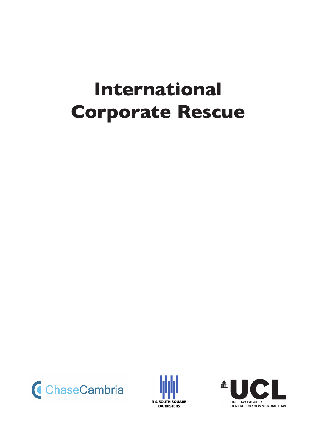# **International Corporate Rescue**





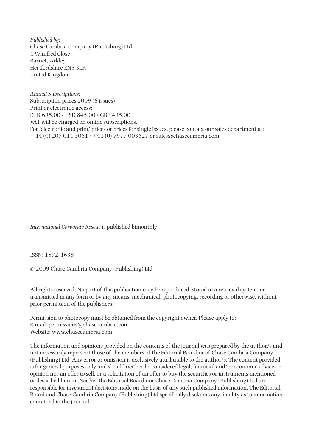*Published by:* Chase Cambria Company (Publishing) Ltd 4 Winifred Close Barnet, Arkley Hertfordshire EN5 3LR United Kingdom

*Annual Subscriptions:* Subscription prices 2009 (6 issues) Print or electronic access: EUR 695.00 / USD 845.00 / GBP 495.00 VAT will be charged on online subscriptions. For 'electronic and print' prices or prices for single issues, please contact our sales department at: + 44 (0) 207 014 3061 / +44 (0) 7977 003627 or sales@chasecambria.com

*International Corporate Rescue* is published bimonthly.

ISSN: 1572-4638

© 2009 Chase Cambria Company (Publishing) Ltd

All rights reserved. No part of this publication may be reproduced, stored in a retrieval system, or transmitted in any form or by any means, mechanical, photocopying, recording or otherwise, without prior permission of the publishers.

Permission to photocopy must be obtained from the copyright owner. Please apply to: E-mail: permissions@chasecambria.com Website: www.chasecambria.com

The information and opinions provided on the contents of the journal was prepared by the author/s and not necessarily represent those of the members of the Editorial Board or of Chase Cambria Company (Publishing) Ltd. Any error or omission is exclusively attributable to the author/s. The content provided is for general purposes only and should neither be considered legal, financial and/or economic advice or opinion nor an offer to sell, or a solicitation of an offer to buy the securities or instruments mentioned or described herein. Neither the Editorial Board nor Chase Cambria Company (Publishing) Ltd are responsible for investment decisions made on the basis of any such published information. The Editorial Board and Chase Cambria Company (Publishing) Ltd specifically disclaims any liability as to information contained in the journal.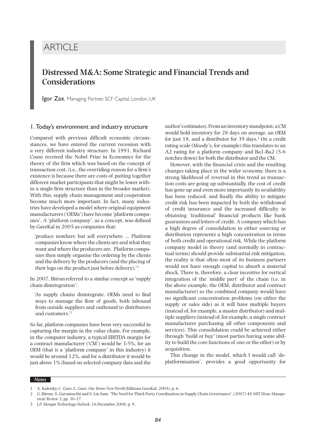# **ARTICLE**

# **Distressed M&A: Some Strategic and Financial Trends and Considerations**

Igor Zax, Managing Partner, SCF Capital, London, UK

#### 1. Today's environment and industry structure

Compared with previous difficult economic circumstances, we have entered the current recession with a very different industry structure. In 1991, Richard Coase received the Nobel Prize in Economics for the theory of the firm which was based on the concept of transaction cost, (i.e., the overriding reason for a firm's existence is because there are costs of putting together different market participants that might be lower within a single firm structure than in the broader market). With this, supply chain management and cooperation become much more important. In fact, many industries have developed a model where original equipment manufacturers ('OEMs') have become 'platform companies'. A 'platform company', as a concept, was defined by GaveKal in 2005 as companies that:

'produce nowhere but sell everywhere … Platform companies know where the clients are and what they want and where the producers are. Platform companies then simply organise the ordering by the clients and the delivery by the producers (and the placing of their logo on the product just before delivery).'1

In 2007, Bitranreferred to a similar concept as 'supply chain disintegration':

'As supply chains disintegrate, OEMs need to find ways to manage the flow of goods, both inbound from outside suppliers and outbound to distributors and customers.'2

So far, platform companies have been very successful in capturing the margin in the value chain. For example, in the computer industry, a typical EBITDA margin for a contract manufacturer ('CM') would be 3-5%, for an OEM (that is a 'platform company' in this industry) it would be around 12%, and for a distributor it would be just above 1% (based on selected company data and the

author's estimates). From an inventory standpoint, a CM would hold inventory for 28 days on average, an OEM for just 18, and a distributor for 39 days.<sup>3</sup> On a credit rating scale (Moody's, for example) this translates to an A2 rating for a platform company and Ba1-Ba2 (5-6 notches down) for both the distributor and the CM.

However, with the financial crisis and the resulting changes taking place in the wider economy, there is a strong likelihood of reversal in this trend as transaction costs are going up substantially, the cost of credit has gone up and even more importantly its availability has been reduced, and finally the ability to mitigate credit risk has been impacted by both the withdrawal of credit insurance and the increased difficulty in obtaining 'traditional' financial products like bank guarantees and letters of credit. A company which has a high degree of consolidation in either sourcing or distribution represents a high concentration in terms of both credit and operational risk. While the platform company model in theory (and normally in contractual terms) should provide substantial risk mitigation, the reality is that often most of its business partners would not have enough capital to absorb a material shock. There is, therefore, a clear incentive for vertical integration of the 'middle part' of the chain (i.e. in the above example, the OEM, distributor and contract manufacturer) so the combined company would have no significant concentration problems (on either the supply or sales side) as it will have multiple buyers (instead of, for example, a master distributor) and multiple suppliers (instead of, for example, a single contract manufacturer purchasing all other components and services). This consolidation could be achieved either through 'build or buy' (most parties having some ability to build the core functions of one or the other) or by acquisition.

This change in the model, which I would call 'deplatformisation', provides a good opportunity for

*Notes*

<sup>1</sup> A. Kaletsky, C. Gave, L. Gave, *Our Brave New World* (Editions GaveKal, 2005), p. 6.

<sup>2</sup> G. Bitran, S. Gurumurthi and S. Lin Sam, 'The Need for Third-Party Coordination in Supply Chain Governance', (2007) 48 *MIT Sloan Management Review* 3, pp. 30-37.

<sup>3</sup> *J.P. Morgan Technology Outlook*, 16 December 2008, p. 9.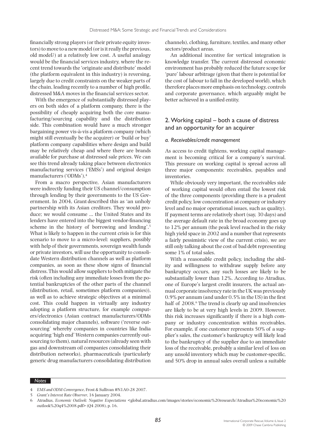financially strong players (or their private equity investors) to move to a new model (or is it really the previous, old model?) at a relatively low cost. A useful analogy would be the financial services industry, where the recent trend towards the 'originate and distribute' model (the platform equivalent in this industry) is reversing, largely due to credit constraints on the weaker parts of the chain, leading recently to a number of high profile, distressed M&A moves in the financial services sector.

With the emergence of substantially distressed players on both sides of a platform company, there is the possibility of cheaply acquiring both the core manufacturing/sourcing capability and the distribution side. This combination would have a much stronger bargaining power vis-à-vis a platform company (which might still eventually be the acquirer) or 'build or buy' platform company capabilities where design and build may be relatively cheap and where there are brands available for purchase at distressed sale prices. We can see this trend already taking place between electronics manufacturing services ('EMSs') and original design manufacturers ('ODMs').4

From a macro perspective, Asian manufacturers were indirectly funding their US channel/consumption through lending by their governments to the US Government. In 2004, Grant described this as 'an unholy partnership with its Asian creditors. They would produce; we would consume … the United States and its lenders have entered into the biggest vendor-financing scheme in the history of borrowing and lending'.5 What is likely to happen in the current crisis is for this scenario to move to a micro-level: suppliers, possibly with help of their governments, sovereign wealth funds or private investors, will use the opportunity to consolidate Western distribution channels as well as platform companies, as soon as these show signs of financial distress. This would allow suppliers to both mitigate the risk (often including any immediate losses from the potential bankruptcies of the other parts of the channel (distribution, retail, sometimes platform companies)), as well as to achieve strategic objectives at a minimal cost. This could happen in virtually any industry adopting a platform structure, for example computers/electronics (Asian contract manufacturers/ODMs consolidating major channels), software ('reverse outsourcing' whereby companies in countries like India acquiring 'high end' Western companies currently outsourcing to them), natural resources (already seen with gas and downstream oil companies consolidating their distribution networks), pharmaceuticals (particularly generic drug manufacturers consolidating distribution

channels), clothing, furniture, textiles, and many other sectors/product areas.

An additional incentive for vertical integration is knowledge transfer. The current distressed economic environment has probably reduced the future scope for 'pure' labour arbitrage (given that there is potential for the cost of labour to fall in the developed world), which therefore places more emphasis on technology, controls and corporate governance, which arguably might be better achieved in a unified entity.

## 2. Working capital – both a cause of distress and an opportunity for an acquirer

#### *a. Receivables/credit management*

As access to credit tightens, working capital management is becoming critical for a company's survival. This pressure on working capital is spread across all three major components: receivables, payables and inventories.

While obviously very important, the receivables side of working capital would often entail the lowest risk of the three components (providing there is a prudent credit policy, low concentration at company or industry level and no major operational issues, such as quality). If payment terms are relatively short (say, 30 days) and the average default rate in the broad economy goes up to 12% per annum (the peak level reached in the risky high yield space in 2002 and a number that represents a fairly pessimistic view of the current crisis), we are still only talking about the cost of bad debt representing some 1% of total sales.

With a reasonable credit policy, including the ability and willingness to withdraw supply before any bankruptcy occurs, any such losses are likely to be substantially lower than 12%. According to Atradius, one of Europe's largest credit insurers, the actual annual corporate insolvency rate in the UK was previously 0.9% per annum (and under 0.5% in the US) in the first half of 2008.<sup>6</sup> The trend is clearly up and insolvencies are likely to be at very high levels in 2009. However, this risk increases significantly if there is a high company or industry concentration within receivables. For example, if one customer represents 50% of a supplier's sales, the customer's bankruptcy will likely lead to the bankruptcy of the supplier due to an immediate loss of the receivable, probably a similar level of loss on any unsold inventory which may be customer-specific, and 50% drop in annual sales overall unless a suitable

#### *Notes*

4 *EMS and ODM Convergence*, Frost & Sullivan #N1A0-28 2007.

<sup>5</sup> *Grant's Interest Rate Observer*, 16 January 2004.

<sup>6</sup> Atradius, *Economic Outlook: Negative Expectations* <global.atradius.com/images/stories/economic%20research/Atradius%20economic%20 outlook%20q4%2008.pdf> (Q4 2008), p. 16.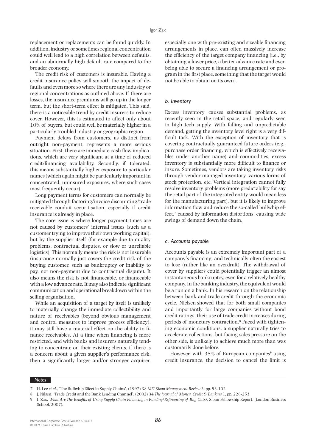replacement or replacements can be found quickly. In addition, industry or sometimes regional concentration could well lead to a high correlation between defaults, and an abnormally high default rate compared to the broader economy.

The credit risk of customers is insurable. Having a credit insurance policy will smooth the impact of defaults and even more so where there are any industry or regional concentrations as outlined above. If there are losses, the insurance premiums will go up in the longer term, but the short-term effect is mitigated. This said, there is a noticeable trend by credit insurers to reduce cover. However, this is estimated to affect only about 10% of buyers, but could well be materially higher in a particularly troubled industry or geographic region.

Payment delays from customers, as distinct from outright non-payment, represents a more serious situation. First, there are immediate cash flow implications, which are very significant at a time of reduced credit/financing availability. Secondly, if tolerated, this means substantially higher exposure to particular names (which again might be particularly important in concentrated, uninsured exposures, where such cases most frequently occur).

Long payment terms for customers can normally be mitigated through factoring/invoice discounting/trade receivable conduit securitisation, especially if credit insurance is already in place.

The core issue is where longer payment times are not caused by customers' internal issues (such as a customer trying to improve their own working capital), but by the supplier itself (for example due to quality problems, contractual disputes, or slow or unreliable logistics). This normally means the risk is not insurable (insurance normally just covers the credit risk of the buying customer, such as bankruptcy or inability to pay, not non-payment due to contractual dispute). It also means the risk is not financeable, or financeable with a low advance rate. It may also indicate significant communication and operational breakdown within the selling organisation.

While an acquisition of a target by itself is unlikely to materially change the immediate collectibility and nature of receivables (beyond obvious management and control measures to improve process efficiency), it may still have a material effect on the ability to finance receivables. At a time when financing is more restricted, and with banks and insurers naturally tending to concentrate on their existing clients, if there is a concern about a given supplier's performance risk, then a significantly larger and/or stronger acquirer,

especially one with pre-existing and sizeable financing arrangements in place, can often massively increase the efficiency of the target company financing (i.e., by obtaining a lower price, a better advance rate and even being able to secure a financing arrangement or program in the first place, something that the target would not be able to obtain on its own).

#### *b. Inventory*

Excess inventory causes substantial problems, as recently seen in the retail space, and regularly seen in high tech supply. With falling and unpredictable demand, getting the inventory level right is a very difficult task. With the exception of inventory that is covering contractually guaranteed future orders (e.g., purchase order financing, which is effectively receivables under another name) and commodities, excess inventory is substantially more difficult to finance or insure. Sometimes, vendors are taking inventory risks through vendor-managed inventory, various forms of stock protection, etc. Vertical integration cannot fully resolve inventory problems (more predictability for say the retail part of the integrated entity would mean less for the manufacturing part), but it is likely to improve information flow and reduce the so-called bullwhip effect,<sup>7</sup> caused by information distortions, causing wide swings of demand down the chain.

#### *c. Accounts payable*

Accounts payable is an extremely important part of a company's financing, and technically often the easiest to lose (rather like an overdraft). The withdrawal of cover by suppliers could potentially trigger an almost instantaneous bankruptcy, even for a relatively healthy company. In the banking industry, the equivalent would be a run on a bank. In his research on the relationship between bank and trade credit through the economic cycle, Nielsen showed that for both small companies and importantly for large companies without bond credit ratings, their use of trade credit increases during periods of monetary contraction.8 Faced with tightening economic conditions, a supplier naturally tries to accelerate collections, but facing sales pressure on the other side, is unlikely to achieve much more than was customarily done before.

However, with  $35\%$  of European companies<sup>9</sup> using credit insurance, the decision to cancel the limit is

#### *Notes*

<sup>7</sup> H. Lee *et al*., 'The Bullwhip Effect in Supply Chains', (1997) 38 *MIT Sloan Management Review* 3, pp. 93-102.

<sup>8</sup> J. Nilsen, 'Trade Credit and the Bank Lending Channel', (2002) 34 *The Journal of Money, Credit & Banking* 1, pp. 226-253.

<sup>9</sup> I. Zax, *What Are The Benefits of Using Supply Chain Financing in Funding/Refinancing of Buy Outs?*, Sloan Fellowship Report, (London Business School, 2007).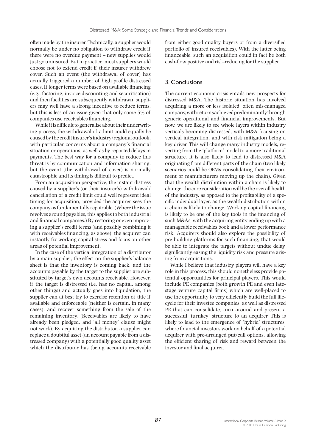often made by the insurer. Technically, a supplier would normally be under no obligation to withdraw credit if there were no overdue payment – new supplies would just go uninsured. But in practice, most suppliers would choose not to extend credit if their insurer withdrew cover. Such an event (the withdrawal of cover) has actually triggered a number of high profile distressed cases. If longer terms were based on available financing (e.g., factoring, invoice discounting and securitisation) and then facilities are subsequently withdrawn, suppliers may well have a strong incentive to reduce terms, but this is less of an issue given that only some 5% of companies use receivables financing.

While it is difficult to generalise about their underwriting process, the withdrawal of a limit could equally be caused by the credit insurer's industry/regional outlook, with particular concerns about a company's financial situation or operations, as well as by reported delays in payments. The best way for a company to reduce this threat is by communication and information sharing, but the event (the withdrawal of cover) is normally catastrophic and its timing is difficult to predict.

From an acquisition perspective, the instant distress caused by a supplier's (or their insurer's) withdrawal/ cancellation of a credit limit could well represent ideal timing for acquisition, provided the acquirer sees the company as fundamentally repairable. (Where the issue revolves around payables, this applies to both industrial and financial companies.) By restoring or even improving a supplier's credit terms (and possibly combining it with receivables financing, as above), the acquirer can instantly fix working capital stress and focus on other areas of potential improvement.

In the case of the vertical integration of a distributor by a main supplier, the effect on the supplier's balance sheet is that the inventory is coming back, and the accounts payable by the target to the supplier are substituted by target's own accounts receivable. However, if the target is distressed (i.e. has no capital, among other things) and actually goes into liquidation, the supplier can at best try to exercise retention of title if available and enforceable (neither is certain, in many cases), and recover something from the sale of the remaining inventory. (Receivables are likely to have already been pledged, and 'all money' clause might not work). By acquiring the distributor, a supplier can replace a doubtful asset (an account payable from a distressed company) with a potentially good quality asset which the distributor has (being accounts receivable from either good quality buyers or from a diversified portfolio of insured receivables). With the latter being financeable, such an acquisition could in fact be both cash-flow positive and risk-reducing for the supplier.

### 3. Conclusions

The current economic crisis entails new prospects for distressed M&A. The historic situation has involved acquiring a more or less isolated, often mis-managed company, with returns achieved predominantly through generic operational and financial improvements. But now, we are likely to see whole layers within industry verticals becoming distressed, with M&A focusing on vertical integration, and with risk mitigation being a key driver. This will change many industry models, reverting from the 'platform' model to a more traditional structure. It is also likely to lead to distressed M&A originating from different parts of the chain (two likely scenarios could be OEMs consolidating their environment or manufacturers moving up the chain). Given that the wealth distribution within a chain is likely to change, the core consideration will be the overall health of the industry, as opposed to the profitability of a specific individual layer, as the wealth distribution within a chain is likely to change. Working capital financing is likely to be one of the key tools in the financing of such M&As, with the acquiring entity ending up with a manageable receivables book and a lower performance risk. Acquirers should also explore the possibility of pre-building platforms for such financing, that would be able to integrate the targets without undue delay, significantly easing the liquidity risk and pressure arising from acquisitions.

While I believe that industry players will have a key role in this process, this should nonetheless provide potential opportunities for principal players. This would include PE companies (both growth PE and even latestage venture capital firms) which are well-placed to use the opportunity to very efficiently build the full lifecycle for their investee companies, as well as distressed PE that can consolidate, turn around and present a successful 'turnkey' structure to an acquirer. This is likely to lead to the emergence of 'hybrid' structures, where financial investors work on behalf of a potential acquirer with pre-arranged put/call options, allowing the efficient sharing of risk and reward between the investor and final acquirer.